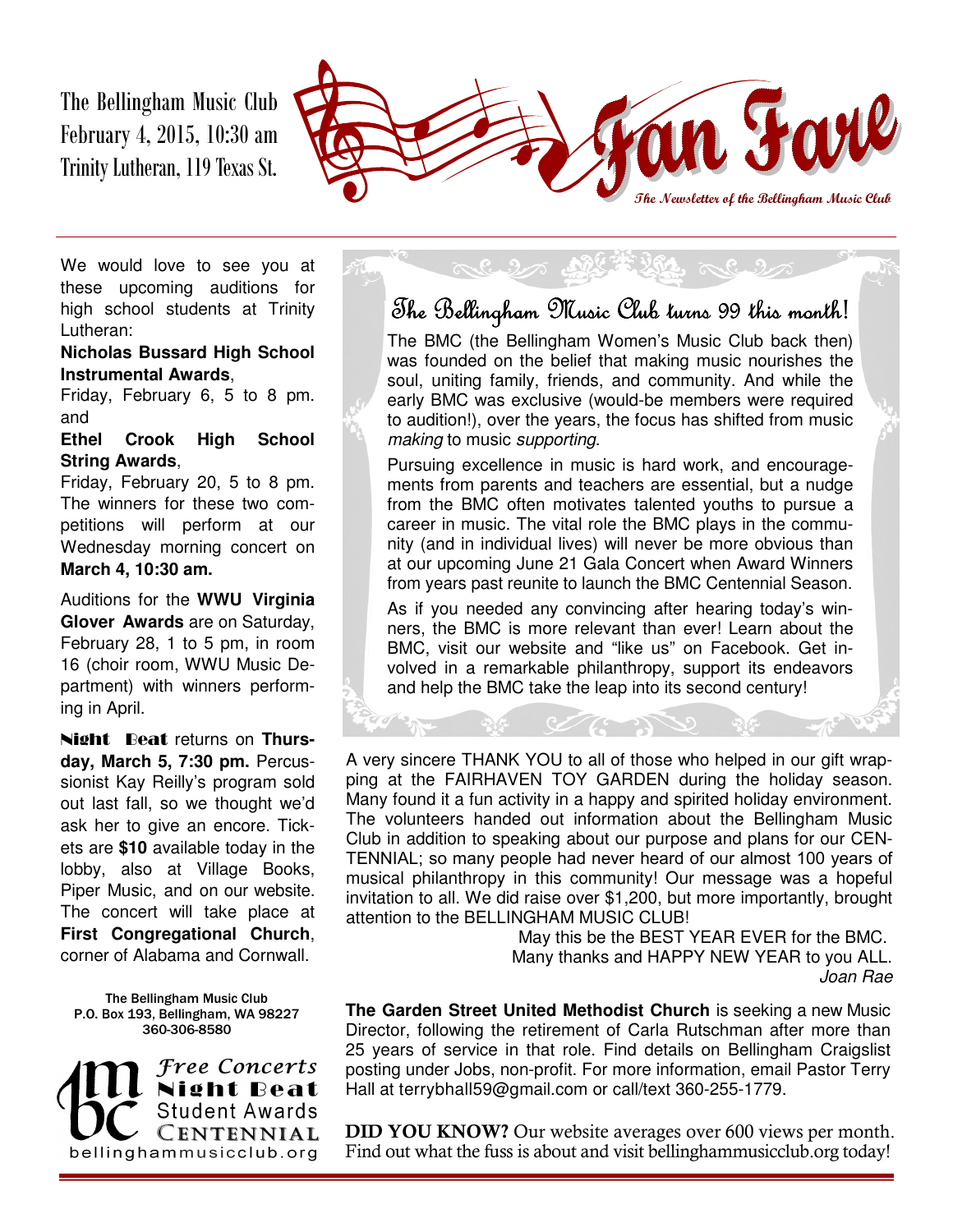The Bellingham Music Club February 4, 2015, 10:30 am Trinity Lutheran, 119 Texas St.



We would love to see you at these upcoming auditions for high school students at Trinity Lutheran:

#### **Nicholas Bussard High School Instrumental Awards**,

Friday, February 6, 5 to 8 pm. and

#### **Ethel Crook High School String Awards**,

Friday, February 20, 5 to 8 pm. The winners for these two competitions will perform at our Wednesday morning concert on **March 4, 10:30 am.**

Auditions for the **WWU Virginia Glover Awards** are on Saturday, February 28, 1 to 5 pm, in room 16 (choir room, WWU Music Department) with winners performing in April.

Night Beat returns on **Thursday, March 5, 7:30 pm.** Percussionist Kay Reilly's program sold out last fall, so we thought we'd ask her to give an encore. Tickets are **\$10** available today in the lobby, also at Village Books, Piper Music, and on our website. The concert will take place at **First Congregational Church**, corner of Alabama and Cornwall.

#### The Bellingham Music Club P.O. Box 193, Bellingham, WA 98227 360-306-8580

Free Concerts ght Beat Student Awards CENTENNIAL bellinghammusicclub.org

## The Bellingham Music Club turns 99 this month!

The BMC (the Bellingham Women's Music Club back then) was founded on the belief that making music nourishes the soul, uniting family, friends, and community. And while the early BMC was exclusive (would-be members were required to audition!), over the years, the focus has shifted from music making to music supporting.

Pursuing excellence in music is hard work, and encouragements from parents and teachers are essential, but a nudge from the BMC often motivates talented youths to pursue a career in music. The vital role the BMC plays in the community (and in individual lives) will never be more obvious than at our upcoming June 21 Gala Concert when Award Winners from years past reunite to launch the BMC Centennial Season.

As if you needed any convincing after hearing today's winners, the BMC is more relevant than ever! Learn about the BMC, visit our website and "like us" on Facebook. Get involved in a remarkable philanthropy, support its endeavors and help the BMC take the leap into its second century!

A very sincere THANK YOU to all of those who helped in our gift wrapping at the FAIRHAVEN TOY GARDEN during the holiday season. Many found it a fun activity in a happy and spirited holiday environment. The volunteers handed out information about the Bellingham Music Club in addition to speaking about our purpose and plans for our CEN-TENNIAL; so many people had never heard of our almost 100 years of musical philanthropy in this community! Our message was a hopeful invitation to all. We did raise over \$1,200, but more importantly, brought attention to the BELLINGHAM MUSIC CLUB!

May this be the BEST YEAR EVER for the BMC. Many thanks and HAPPY NEW YEAR to you ALL. Joan Rae

**The Garden Street United Methodist Church** is seeking a new Music Director, following the retirement of Carla Rutschman after more than 25 years of service in that role. Find details on Bellingham Craigslist posting under Jobs, non-profit. For more information, email Pastor Terry Hall at terrybhall59@gmail.com or call/text 360-255-1779.

**DID YOU KNOW?** Our website averages over 600 views per month. Find out what the fuss is about and visit bellinghammusicclub.org today!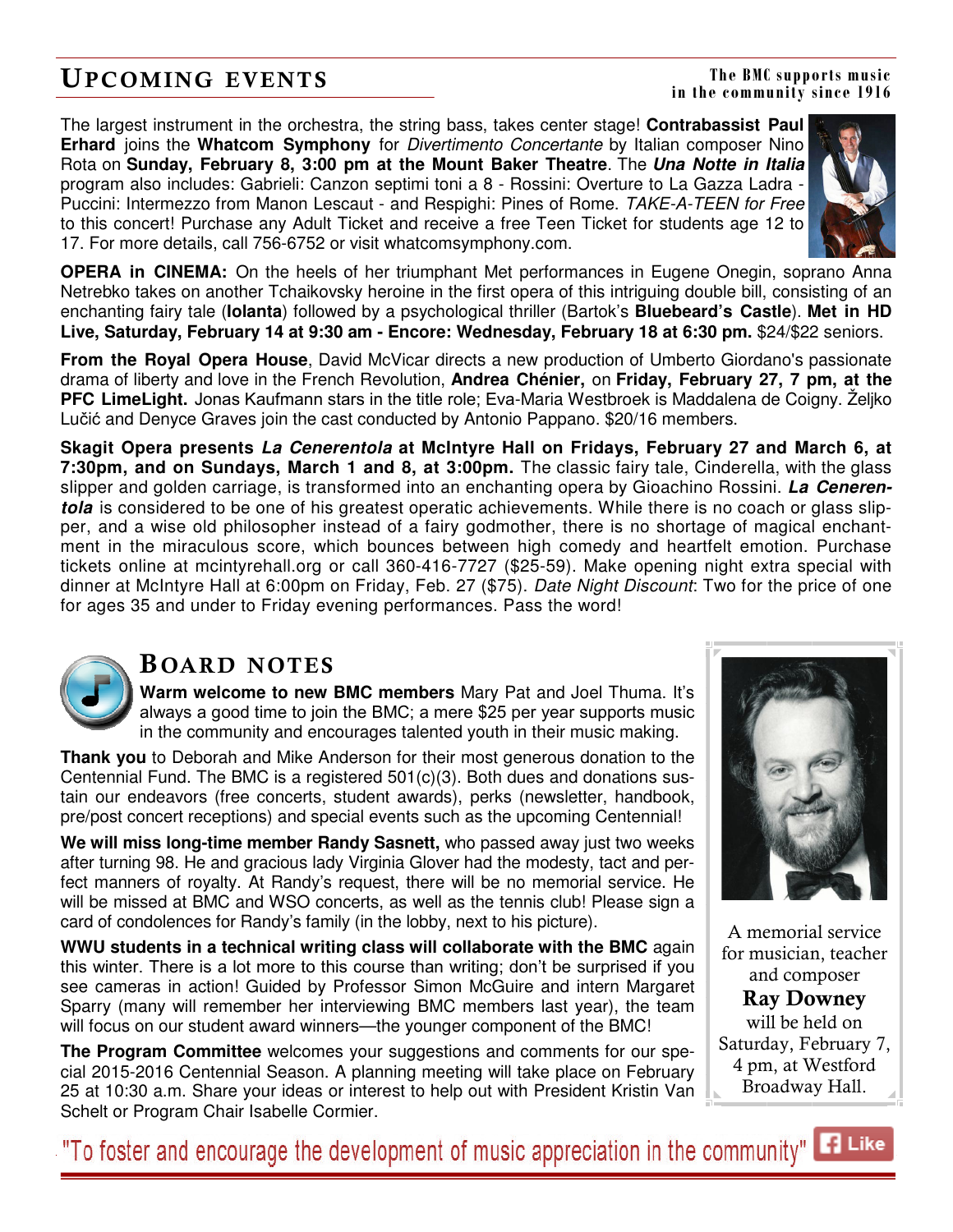## **UPCOMING EVENTS**

**The BMC supports music in the community since 1916** 

The largest instrument in the orchestra, the string bass, takes center stage! **Contrabassist Paul Erhard** joins the **Whatcom Symphony** for Divertimento Concertante by Italian composer Nino Rota on **Sunday, February 8, 3:00 pm at the Mount Baker Theatre**. The **Una Notte in Italia**  program also includes: Gabrieli: Canzon septimi toni a 8 - Rossini: Overture to La Gazza Ladra - Puccini: Intermezzo from Manon Lescaut - and Respighi: Pines of Rome. TAKE-A-TEEN for Free to this concert! Purchase any Adult Ticket and receive a free Teen Ticket for students age 12 to 17. For more details, call 756-6752 or visit whatcomsymphony.com.



**OPERA in CINEMA:** On the heels of her triumphant Met performances in Eugene Onegin, soprano Anna Netrebko takes on another Tchaikovsky heroine in the first opera of this intriguing double bill, consisting of an enchanting fairy tale (**Iolanta**) followed by a psychological thriller (Bartok's **Bluebeard's Castle**). **Met in HD**  Live, Saturday, February 14 at 9:30 am - Encore: Wednesday, February 18 at 6:30 pm. \$24/\$22 seniors.

**From the Royal Opera House**, David McVicar directs a new production of Umberto Giordano's passionate drama of liberty and love in the French Revolution, **Andrea Chénier,** on **Friday, February 27, 7 pm, at the PFC LimeLight.** Jonas Kaufmann stars in the title role; Eva-Maria Westbroek is Maddalena de Coigny. Željko Lučić and Denyce Graves join the cast conducted by Antonio Pappano. \$20/16 members.

**Skagit Opera presents La Cenerentola at McIntyre Hall on Fridays, February 27 and March 6, at 7:30pm, and on Sundays, March 1 and 8, at 3:00pm.** The classic fairy tale, Cinderella, with the glass slipper and golden carriage, is transformed into an enchanting opera by Gioachino Rossini. **La Cenerentola** is considered to be one of his greatest operatic achievements. While there is no coach or glass slipper, and a wise old philosopher instead of a fairy godmother, there is no shortage of magical enchantment in the miraculous score, which bounces between high comedy and heartfelt emotion. Purchase tickets online at mcintyrehall.org or call 360-416-7727 (\$25-59). Make opening night extra special with dinner at McIntyre Hall at 6:00pm on Friday, Feb. 27 (\$75). Date Night Discount: Two for the price of one for ages 35 and under to Friday evening performances. Pass the word!



### **B OARD NOTES**

**Warm welcome to new BMC members** Mary Pat and Joel Thuma. It's always a good time to join the BMC; a mere \$25 per year supports music in the community and encourages talented youth in their music making.

**Thank you** to Deborah and Mike Anderson for their most generous donation to the Centennial Fund. The BMC is a registered  $501(c)(3)$ . Both dues and donations sustain our endeavors (free concerts, student awards), perks (newsletter, handbook, pre/post concert receptions) and special events such as the upcoming Centennial!

**We will miss long-time member Randy Sasnett,** who passed away just two weeks after turning 98. He and gracious lady Virginia Glover had the modesty, tact and perfect manners of royalty. At Randy's request, there will be no memorial service. He will be missed at BMC and WSO concerts, as well as the tennis club! Please sign a card of condolences for Randy's family (in the lobby, next to his picture).

**WWU students in a technical writing class will collaborate with the BMC** again this winter. There is a lot more to this course than writing; don't be surprised if you see cameras in action! Guided by Professor Simon McGuire and intern Margaret Sparry (many will remember her interviewing BMC members last year), the team will focus on our student award winners—the younger component of the BMC!

**The Program Committee** welcomes your suggestions and comments for our special 2015-2016 Centennial Season. A planning meeting will take place on February 25 at 10:30 a.m. Share your ideas or interest to help out with President Kristin Van Schelt or Program Chair Isabelle Cormier.



A memorial service for musician, teacher and composer **Ray Downey**  will be held on Saturday, February 7, 4 pm, at Westford Broadway Hall.

**B** Like "To foster and encourage the development of music appreciation in the community" |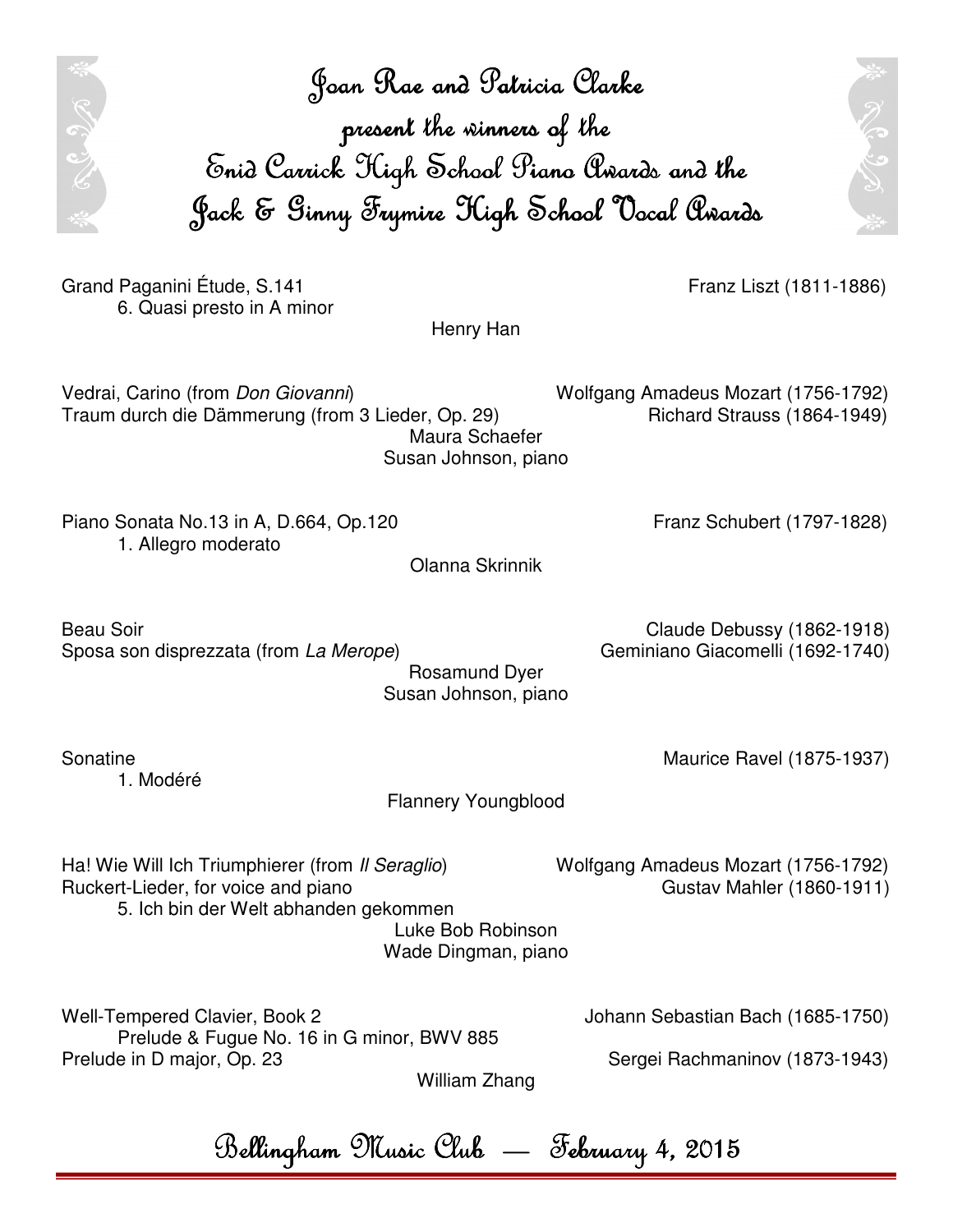Joan Rae and Patricia Clarke Joan and Patricia present the winners of the Enid Carrick High School Piano Awards and the Jack & Ginny Frymire High School Vocal Awards

Henry Han

Olanna Skrinnik

Grand Paganini Étude, S.141 **Franz Liszt (1811-1886**) 6. Quasi presto in A minor

RCJA

Vedrai, Carino (from Don Giovanni) Wolfgang Amadeus Mozart (1756-1792) Traum durch die Dämmerung (from 3 Lieder, Op. 29) Richard Strauss (1864-1949) Maura Schaefer Susan Johnson, piano

Piano Sonata No.13 in A, D.664, Op.120 Franz Schubert (1797-1828) 1. Allegro moderato

Beau Soir **Claude Debussy (1862-1918)** 

Rosamund Dyer Susan Johnson, piano

1. Modéré

Sposa son disprezzata (from La Merope) Geminiano Giacomelli (1692-1740)

Ha! Wie Will Ich Triumphierer (from *Il Seraglio*) Wolfgang Amadeus Mozart (1756-1792) Ruckert-Lieder, for voice and piano Ruckert-Lieder, for voice and piano 5. Ich bin der Welt abhanden gekommen

Luke Bob Robinson Wade Dingman, piano

Flannery Youngblood

Well-Tempered Clavier, Book 2 Johann Sebastian Bach (1685-1750) Prelude & Fugue No. 16 in G minor, BWV 885 Prelude in D major, Op. 23 Sergei Rachmaninov (1873-1943)

William Zhang

Bellingham Music Club — February 4, 2015

Sonatine Maurice Ravel (1875-1937)